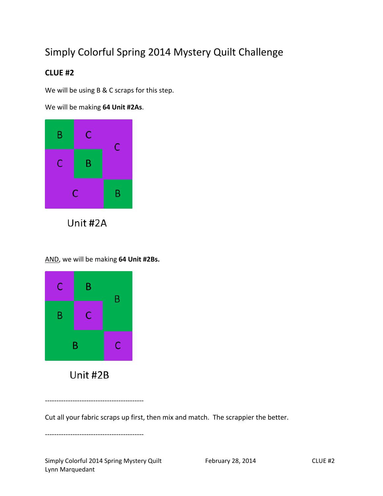## Simply Colorful Spring 2014 Mystery Quilt Challenge

## **CLUE #2**

We will be using B & C scraps for this step.

We will be making **64 Unit #2As**.



Unit #2A

AND, we will be making **64 Unit #2Bs.**



Unit #2B

-------------------------------------------

Cut all your fabric scraps up first, then mix and match. The scrappier the better.

-------------------------------------------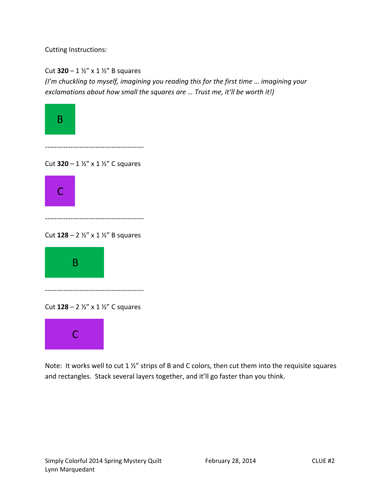Cutting Instructions:

Cut **320** – 1 ½" x 1 ½" B squares

*(I'm chuckling to myself, imagining you reading this for the first time … imagining your exclamations about how small the squares are … Trust me, it'll be worth it!)*



Cut **128** – 2 ½" x 1 ½" B squares

-------------------------------------------



Cut **128** – 2 ½" x 1 ½" C squares

-------------------------------------------



Note: It works well to cut 1 ½" strips of B and C colors, then cut them into the requisite squares and rectangles. Stack several layers together, and it'll go faster than you think.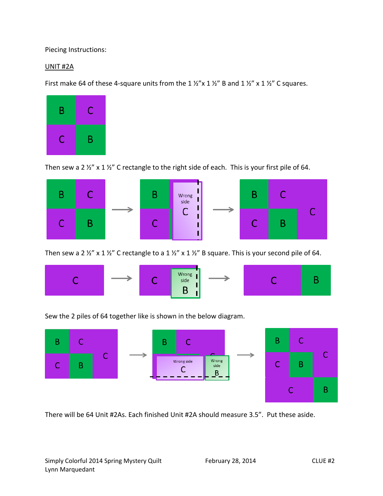Piecing Instructions:

## UNIT #2A

First make 64 of these 4-square units from the 1  $\frac{1}{2}$  x 1  $\frac{1}{2}$  B and 1  $\frac{1}{2}$  x 1  $\frac{1}{2}$  C squares.



Then sew a 2  $\frac{1}{2}$ " x 1  $\frac{1}{2}$ " C rectangle to the right side of each. This is your first pile of 64.



Then sew a 2  $\frac{1}{2}$ " x 1  $\frac{1}{2}$ " C rectangle to a 1  $\frac{1}{2}$ " x 1  $\frac{1}{2}$ " B square. This is your second pile of 64.



B.

Sew the 2 piles of 64 together like is shown in the below diagram.



There will be 64 Unit #2As. Each finished Unit #2A should measure 3.5". Put these aside.